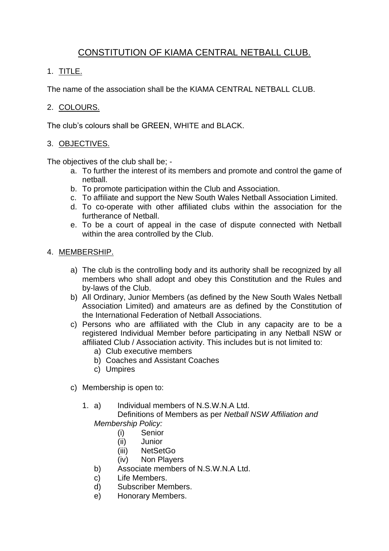# CONSTITUTION OF KIAMA CENTRAL NETBALL CLUB.

# 1. TITLE.

The name of the association shall be the KIAMA CENTRAL NETBALL CLUB.

# 2. COLOURS.

The club's colours shall be GREEN, WHITE and BLACK.

# 3. OBJECTIVES.

The objectives of the club shall be; -

- a. To further the interest of its members and promote and control the game of netball.
- b. To promote participation within the Club and Association.
- c. To affiliate and support the New South Wales Netball Association Limited.
- d. To co-operate with other affiliated clubs within the association for the furtherance of Netball.
- e. To be a court of appeal in the case of dispute connected with Netball within the area controlled by the Club.

### 4. MEMBERSHIP.

- a) The club is the controlling body and its authority shall be recognized by all members who shall adopt and obey this Constitution and the Rules and by-laws of the Club.
- b) All Ordinary, Junior Members (as defined by the New South Wales Netball Association Limited) and amateurs are as defined by the Constitution of the International Federation of Netball Associations.
- c) Persons who are affiliated with the Club in any capacity are to be a registered Individual Member before participating in any Netball NSW or affiliated Club / Association activity. This includes but is not limited to:
	- a) Club executive members
	- b) Coaches and Assistant Coaches
	- c) Umpires
- c) Membership is open to:
	- 1. a) Individual members of N.S.W.N.A Ltd. Definitions of Members as per *Netball NSW Affiliation and*

*Membership Policy:*

- (i) Senior
- (ii) Junior
- (iii) NetSetGo
- (iv) Non Players
- b) Associate members of N.S.W.N.A Ltd.
- c) Life Members.
- d) Subscriber Members.
- e) Honorary Members.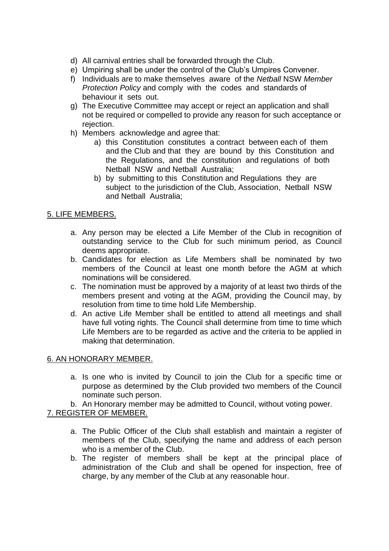- d) All carnival entries shall be forwarded through the Club.
- e) Umpiring shall be under the control of the Club's Umpires Convener.
- f) Individuals are to make themselves aware of the *Netball* NSW *Member Protection Policy* and comply with the codes and standards of behaviour it sets out.
- g) The Executive Committee may accept or reject an application and shall not be required or compelled to provide any reason for such acceptance or rejection.
- h) Members acknowledge and agree that:
	- a) this Constitution constitutes a contract between each of them and the Club and that they are bound by this Constitution and the Regulations, and the constitution and regulations of both Netball NSW and Netball Australia;
	- b) by submitting to this Constitution and Regulations they are subject to the jurisdiction of the Club, Association, Netball NSW and Netball Australia;

#### 5. LIFE MEMBERS.

- a. Any person may be elected a Life Member of the Club in recognition of outstanding service to the Club for such minimum period, as Council deems appropriate.
- b. Candidates for election as Life Members shall be nominated by two members of the Council at least one month before the AGM at which nominations will be considered.
- c. The nomination must be approved by a majority of at least two thirds of the members present and voting at the AGM, providing the Council may, by resolution from time to time hold Life Membership.
- d. An active Life Member shall be entitled to attend all meetings and shall have full voting rights. The Council shall determine from time to time which Life Members are to be regarded as active and the criteria to be applied in making that determination.

#### 6. AN HONORARY MEMBER.

- a. Is one who is invited by Council to join the Club for a specific time or purpose as determined by the Club provided two members of the Council nominate such person.
- b. An Honorary member may be admitted to Council, without voting power.

### 7. REGISTER OF MEMBER.

- a. The Public Officer of the Club shall establish and maintain a register of members of the Club, specifying the name and address of each person who is a member of the Club.
- b. The register of members shall be kept at the principal place of administration of the Club and shall be opened for inspection, free of charge, by any member of the Club at any reasonable hour.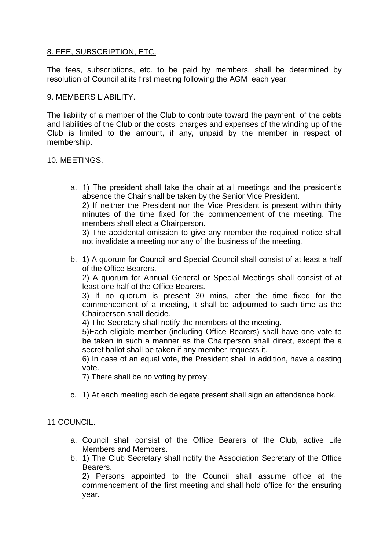### 8. FEE, SUBSCRIPTION, ETC.

The fees, subscriptions, etc. to be paid by members, shall be determined by resolution of Council at its first meeting following the AGM each year.

#### 9. MEMBERS LIABILITY.

The liability of a member of the Club to contribute toward the payment, of the debts and liabilities of the Club or the costs, charges and expenses of the winding up of the Club is limited to the amount, if any, unpaid by the member in respect of membership.

#### 10. MEETINGS.

a. 1) The president shall take the chair at all meetings and the president's absence the Chair shall be taken by the Senior Vice President.

2) If neither the President nor the Vice President is present within thirty minutes of the time fixed for the commencement of the meeting. The members shall elect a Chairperson.

3) The accidental omission to give any member the required notice shall not invalidate a meeting nor any of the business of the meeting.

b. 1) A quorum for Council and Special Council shall consist of at least a half of the Office Bearers.

2) A quorum for Annual General or Special Meetings shall consist of at least one half of the Office Bearers.

3) If no quorum is present 30 mins, after the time fixed for the commencement of a meeting, it shall be adjourned to such time as the Chairperson shall decide.

4) The Secretary shall notify the members of the meeting.

5)Each eligible member (including Office Bearers) shall have one vote to be taken in such a manner as the Chairperson shall direct, except the a secret ballot shall be taken if any member requests it.

6) In case of an equal vote, the President shall in addition, have a casting vote.

7) There shall be no voting by proxy.

c. 1) At each meeting each delegate present shall sign an attendance book.

#### 11 COUNCIL.

- a. Council shall consist of the Office Bearers of the Club, active Life Members and Members.
- b. 1) The Club Secretary shall notify the Association Secretary of the Office Bearers.

2) Persons appointed to the Council shall assume office at the commencement of the first meeting and shall hold office for the ensuring year.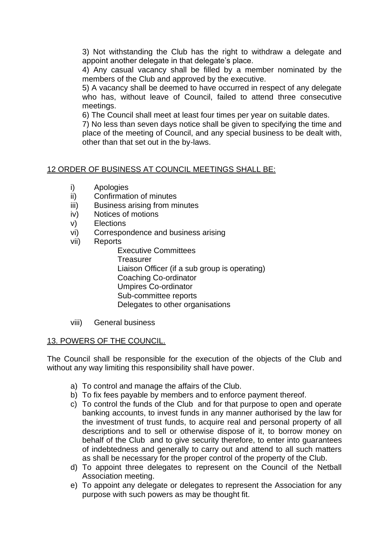3) Not withstanding the Club has the right to withdraw a delegate and appoint another delegate in that delegate's place.

4) Any casual vacancy shall be filled by a member nominated by the members of the Club and approved by the executive.

5) A vacancy shall be deemed to have occurred in respect of any delegate who has, without leave of Council, failed to attend three consecutive meetings.

6) The Council shall meet at least four times per year on suitable dates.

7) No less than seven days notice shall be given to specifying the time and place of the meeting of Council, and any special business to be dealt with, other than that set out in the by-laws.

### 12 ORDER OF BUSINESS AT COUNCIL MEETINGS SHALL BE:

- i) Apologies
- ii) Confirmation of minutes
- iii) Business arising from minutes
- iv) Notices of motions
- v) Elections
- vi) Correspondence and business arising
- vii) Reports

Executive Committees **Treasurer** Liaison Officer (if a sub group is operating) Coaching Co-ordinator Umpires Co-ordinator Sub-committee reports Delegates to other organisations

viii) General business

### 13. POWERS OF THE COUNCIL.

The Council shall be responsible for the execution of the objects of the Club and without any way limiting this responsibility shall have power.

- a) To control and manage the affairs of the Club.
- b) To fix fees payable by members and to enforce payment thereof.
- c) To control the funds of the Club and for that purpose to open and operate banking accounts, to invest funds in any manner authorised by the law for the investment of trust funds, to acquire real and personal property of all descriptions and to sell or otherwise dispose of it, to borrow money on behalf of the Club and to give security therefore, to enter into guarantees of indebtedness and generally to carry out and attend to all such matters as shall be necessary for the proper control of the property of the Club.
- d) To appoint three delegates to represent on the Council of the Netball Association meeting.
- e) To appoint any delegate or delegates to represent the Association for any purpose with such powers as may be thought fit.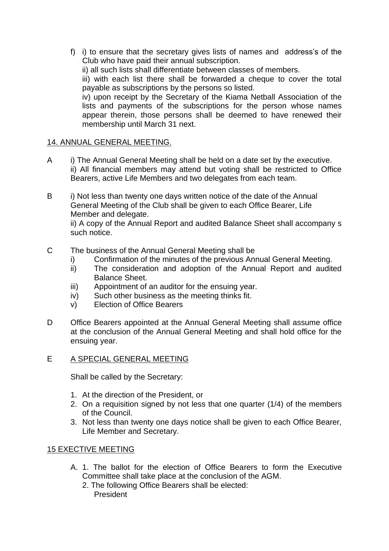f) i) to ensure that the secretary gives lists of names and address's of the Club who have paid their annual subscription.

ii) all such lists shall differentiate between classes of members.

iii) with each list there shall be forwarded a cheque to cover the total payable as subscriptions by the persons so listed.

iv) upon receipt by the Secretary of the Kiama Netball Association of the lists and payments of the subscriptions for the person whose names appear therein, those persons shall be deemed to have renewed their membership until March 31 next.

### 14. ANNUAL GENERAL MEETING.

- A i) The Annual General Meeting shall be held on a date set by the executive. ii) All financial members may attend but voting shall be restricted to Office Bearers, active Life Members and two delegates from each team.
- B i) Not less than twenty one days written notice of the date of the Annual General Meeting of the Club shall be given to each Office Bearer, Life Member and delegate.

ii) A copy of the Annual Report and audited Balance Sheet shall accompany s such notice.

- C The business of the Annual General Meeting shall be
	- i) Confirmation of the minutes of the previous Annual General Meeting.
	- ii) The consideration and adoption of the Annual Report and audited Balance Sheet.
	- iii) Appointment of an auditor for the ensuing year.
	- iv) Such other business as the meeting thinks fit.
	- v) Election of Office Bearers
- D Office Bearers appointed at the Annual General Meeting shall assume office at the conclusion of the Annual General Meeting and shall hold office for the ensuing year.

### E A SPECIAL GENERAL MEETING

Shall be called by the Secretary:

- 1. At the direction of the President, or
- 2. On a requisition signed by not less that one quarter (1/4) of the members of the Council.
- 3. Not less than twenty one days notice shall be given to each Office Bearer, Life Member and Secretary.

### 15 EXECTIVE MEETING

- A. 1. The ballot for the election of Office Bearers to form the Executive Committee shall take place at the conclusion of the AGM.
	- 2. The following Office Bearers shall be elected: President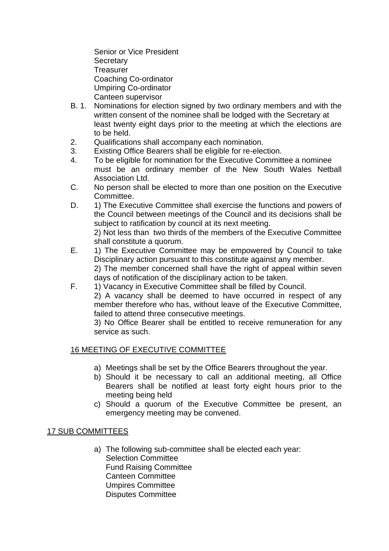Senior or Vice President **Secretary Treasurer** Coaching Co-ordinator Umpiring Co-ordinator Canteen supervisor

- B. 1. Nominations for election signed by two ordinary members and with the written consent of the nominee shall be lodged with the Secretary at least twenty eight days prior to the meeting at which the elections are to be held.
- 2. Qualifications shall accompany each nomination.
- 3. Existing Office Bearers shall be eligible for re-election.
- 4. To be eligible for nomination for the Executive Committee a nominee must be an ordinary member of the New South Wales Netball Association Ltd.
- C. No person shall be elected to more than one position on the Executive Committee.
- D. 1) The Executive Committee shall exercise the functions and powers of the Council between meetings of the Council and its decisions shall be subject to ratification by council at its next meeting.

2) Not less than two thirds of the members of the Executive Committee shall constitute a quorum.

- E. 1) The Executive Committee may be empowered by Council to take Disciplinary action pursuant to this constitute against any member. 2) The member concerned shall have the right of appeal within seven days of notification of the disciplinary action to be taken.
- F. 1) Vacancy in Executive Committee shall be filled by Council.
	- 2) A vacancy shall be deemed to have occurred in respect of any member therefore who has, without leave of the Executive Committee, failed to attend three consecutive meetings.

3) No Office Bearer shall be entitled to receive remuneration for any service as such.

### 16 MEETING OF EXECUTIVE COMMITTEE

- a) Meetings shall be set by the Office Bearers throughout the year.
- b) Should it be necessary to call an additional meeting, all Office Bearers shall be notified at least forty eight hours prior to the meeting being held
- c) Should a quorum of the Executive Committee be present, an emergency meeting may be convened.

#### 17 SUB COMMITTEES

a) The following sub-committee shall be elected each year: Selection Committee Fund Raising Committee Canteen Committee Umpires Committee Disputes Committee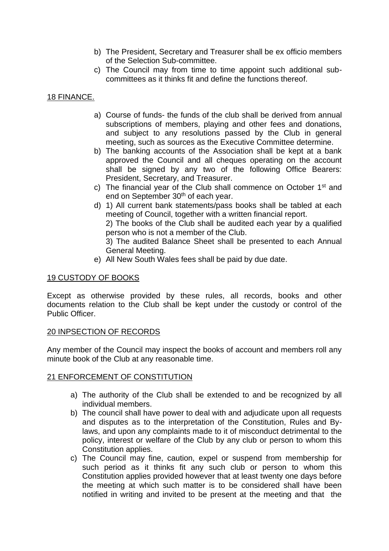- b) The President, Secretary and Treasurer shall be ex officio members of the Selection Sub-committee.
- c) The Council may from time to time appoint such additional subcommittees as it thinks fit and define the functions thereof.

### 18 FINANCE.

- a) Course of funds- the funds of the club shall be derived from annual subscriptions of members, playing and other fees and donations, and subject to any resolutions passed by the Club in general meeting, such as sources as the Executive Committee determine.
- b) The banking accounts of the Association shall be kept at a bank approved the Council and all cheques operating on the account shall be signed by any two of the following Office Bearers: President, Secretary, and Treasurer.
- c) The financial year of the Club shall commence on October 1<sup>st</sup> and end on September 30<sup>th</sup> of each year.
- d) 1) All current bank statements/pass books shall be tabled at each meeting of Council, together with a written financial report.

2) The books of the Club shall be audited each year by a qualified person who is not a member of the Club.

3) The audited Balance Sheet shall be presented to each Annual General Meeting.

e) All New South Wales fees shall be paid by due date.

#### 19 CUSTODY OF BOOKS

Except as otherwise provided by these rules, all records, books and other documents relation to the Club shall be kept under the custody or control of the Public Officer.

#### 20 INPSECTION OF RECORDS

Any member of the Council may inspect the books of account and members roll any minute book of the Club at any reasonable time.

#### 21 ENFORCEMENT OF CONSTITUTION

- a) The authority of the Club shall be extended to and be recognized by all individual members.
- b) The council shall have power to deal with and adjudicate upon all requests and disputes as to the interpretation of the Constitution, Rules and Bylaws, and upon any complaints made to it of misconduct detrimental to the policy, interest or welfare of the Club by any club or person to whom this Constitution applies.
- c) The Council may fine, caution, expel or suspend from membership for such period as it thinks fit any such club or person to whom this Constitution applies provided however that at least twenty one days before the meeting at which such matter is to be considered shall have been notified in writing and invited to be present at the meeting and that the